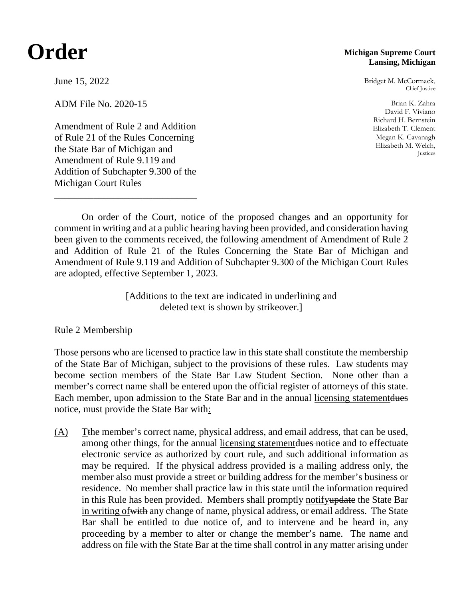## **Order**

## **Michigan Supreme Court Lansing, Michigan**

Bridget M. McCormack, Chief Justice

Brian K. Zahra David F. Viviano Richard H. Bernstein Elizabeth T. Clement Megan K. Cavanagh Elizabeth M. Welch, Justices

June 15, 2022

ADM File No. 2020-15

Amendment of Rule 2 and Addition of Rule 21 of the Rules Concerning the State Bar of Michigan and Amendment of Rule 9.119 and Addition of Subchapter 9.300 of the Michigan Court Rules

\_\_\_\_\_\_\_\_\_\_\_\_\_\_\_\_\_\_\_\_\_\_\_\_\_\_\_\_\_

On order of the Court, notice of the proposed changes and an opportunity for comment in writing and at a public hearing having been provided, and consideration having been given to the comments received, the following amendment of Amendment of Rule 2 and Addition of Rule 21 of the Rules Concerning the State Bar of Michigan and Amendment of Rule 9.119 and Addition of Subchapter 9.300 of the Michigan Court Rules are adopted, effective September 1, 2023.

> [Additions to the text are indicated in underlining and deleted text is shown by strikeover.]

## Rule 2 Membership

Those persons who are licensed to practice law in this state shall constitute the membership of the State Bar of Michigan, subject to the provisions of these rules. Law students may become section members of the State Bar Law Student Section. None other than a member's correct name shall be entered upon the official register of attorneys of this state. Each member, upon admission to the State Bar and in the annual licensing statementdues notice, must provide the State Bar with:

(A) Tthe member's correct name, physical address, and email address, that can be used, among other things, for the annual licensing statement dues notice and to effectuate electronic service as authorized by court rule, and such additional information as may be required. If the physical address provided is a mailing address only, the member also must provide a street or building address for the member's business or residence. No member shall practice law in this state until the information required in this Rule has been provided. Members shall promptly notifyupdate the State Bar in writing ofwith any change of name, physical address, or email address. The State Bar shall be entitled to due notice of, and to intervene and be heard in, any proceeding by a member to alter or change the member's name. The name and address on file with the State Bar at the time shall control in any matter arising under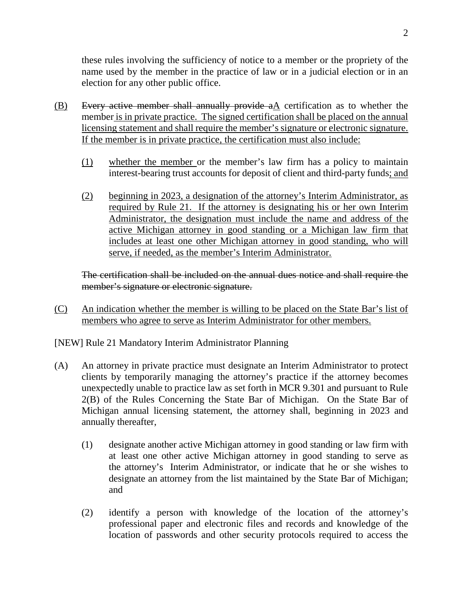these rules involving the sufficiency of notice to a member or the propriety of the name used by the member in the practice of law or in a judicial election or in an election for any other public office.

- $(B)$  Every active member shall annually provide  $aA$  certification as to whether the member is in private practice. The signed certification shall be placed on the annual licensing statement and shall require the member's signature or electronic signature. If the member is in private practice, the certification must also include:
	- (1) whether the member or the member's law firm has a policy to maintain interest-bearing trust accounts for deposit of client and third-party funds; and
	- (2) beginning in 2023, a designation of the attorney's Interim Administrator, as required by Rule 21. If the attorney is designating his or her own Interim Administrator, the designation must include the name and address of the active Michigan attorney in good standing or a Michigan law firm that includes at least one other Michigan attorney in good standing, who will serve, if needed, as the member's Interim Administrator.

The certification shall be included on the annual dues notice and shall require the member's signature or electronic signature.

(C) An indication whether the member is willing to be placed on the State Bar's list of members who agree to serve as Interim Administrator for other members.

[NEW] Rule 21 Mandatory Interim Administrator Planning

- (A) An attorney in private practice must designate an Interim Administrator to protect clients by temporarily managing the attorney's practice if the attorney becomes unexpectedly unable to practice law as set forth in MCR 9.301 and pursuant to Rule 2(B) of the Rules Concerning the State Bar of Michigan. On the State Bar of Michigan annual licensing statement, the attorney shall, beginning in 2023 and annually thereafter,
	- (1) designate another active Michigan attorney in good standing or law firm with at least one other active Michigan attorney in good standing to serve as the attorney's Interim Administrator, or indicate that he or she wishes to designate an attorney from the list maintained by the State Bar of Michigan; and
	- (2) identify a person with knowledge of the location of the attorney's professional paper and electronic files and records and knowledge of the location of passwords and other security protocols required to access the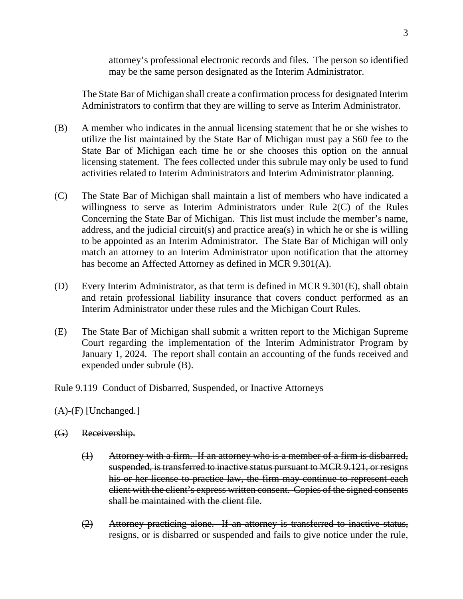attorney's professional electronic records and files. The person so identified may be the same person designated as the Interim Administrator.

The State Bar of Michigan shall create a confirmation process for designated Interim Administrators to confirm that they are willing to serve as Interim Administrator.

- (B) A member who indicates in the annual licensing statement that he or she wishes to utilize the list maintained by the State Bar of Michigan must pay a \$60 fee to the State Bar of Michigan each time he or she chooses this option on the annual licensing statement. The fees collected under this subrule may only be used to fund activities related to Interim Administrators and Interim Administrator planning.
- (C) The State Bar of Michigan shall maintain a list of members who have indicated a willingness to serve as Interim Administrators under Rule 2(C) of the Rules Concerning the State Bar of Michigan. This list must include the member's name, address, and the judicial circuit(s) and practice area(s) in which he or she is willing to be appointed as an Interim Administrator. The State Bar of Michigan will only match an attorney to an Interim Administrator upon notification that the attorney has become an Affected Attorney as defined in MCR 9.301(A).
- (D) Every Interim Administrator, as that term is defined in MCR 9.301(E), shall obtain and retain professional liability insurance that covers conduct performed as an Interim Administrator under these rules and the Michigan Court Rules.
- (E) The State Bar of Michigan shall submit a written report to the Michigan Supreme Court regarding the implementation of the Interim Administrator Program by January 1, 2024. The report shall contain an accounting of the funds received and expended under subrule (B).

Rule 9.119 Conduct of Disbarred, Suspended, or Inactive Attorneys

(A)-(F) [Unchanged.]

- (G) Receivership.
	- (1) Attorney with a firm. If an attorney who is a member of a firm is disbarred, suspended, is transferred to inactive status pursuant to MCR 9.121, or resigns his or her license to practice law, the firm may continue to represent each client with the client's express written consent. Copies of the signed consents shall be maintained with the client file.
	- (2) Attorney practicing alone. If an attorney is transferred to inactive status, resigns, or is disbarred or suspended and fails to give notice under the rule,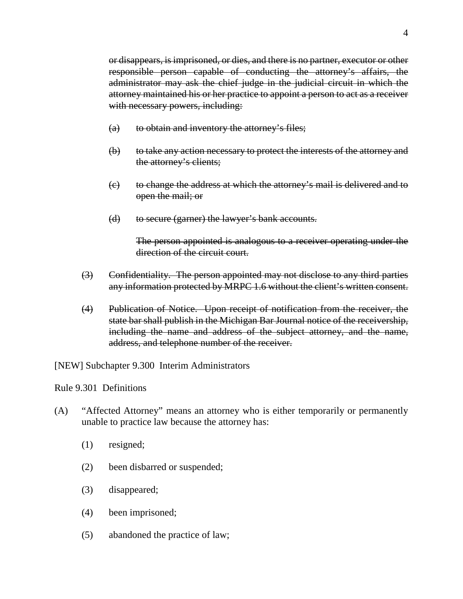or disappears, is imprisoned, or dies, and there is no partner, executor or other responsible person capable of conducting the attorney's affairs, the administrator may ask the chief judge in the judicial circuit in which the attorney maintained his or her practice to appoint a person to act as a receiver with necessary powers, including:

- (a) to obtain and inventory the attorney's files;
- (b) to take any action necessary to protect the interests of the attorney and the attorney's clients;
- (c) to change the address at which the attorney's mail is delivered and to open the mail; or
- (d) to secure (garner) the lawyer's bank accounts.

The person appointed is analogous to a receiver operating under the direction of the circuit court.

- (3) Confidentiality. The person appointed may not disclose to any third parties any information protected by MRPC 1.6 without the client's written consent.
- (4) Publication of Notice. Upon receipt of notification from the receiver, the state bar shall publish in the Michigan Bar Journal notice of the receivership, including the name and address of the subject attorney, and the name, address, and telephone number of the receiver.

[NEW] Subchapter 9.300 Interim Administrators

Rule 9.301 Definitions

- (A) "Affected Attorney" means an attorney who is either temporarily or permanently unable to practice law because the attorney has:
	- (1) resigned;
	- (2) been disbarred or suspended;
	- (3) disappeared;
	- (4) been imprisoned;
	- (5) abandoned the practice of law;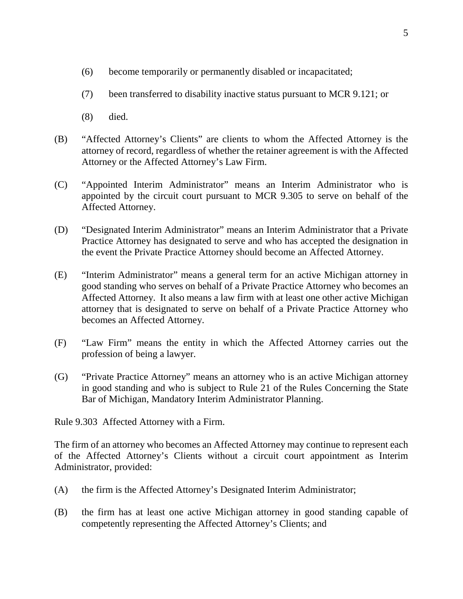- (6) become temporarily or permanently disabled or incapacitated;
- (7) been transferred to disability inactive status pursuant to MCR 9.121; or
- (8) died.
- (B) "Affected Attorney's Clients" are clients to whom the Affected Attorney is the attorney of record, regardless of whether the retainer agreement is with the Affected Attorney or the Affected Attorney's Law Firm.
- (C) "Appointed Interim Administrator" means an Interim Administrator who is appointed by the circuit court pursuant to MCR 9.305 to serve on behalf of the Affected Attorney.
- (D) "Designated Interim Administrator" means an Interim Administrator that a Private Practice Attorney has designated to serve and who has accepted the designation in the event the Private Practice Attorney should become an Affected Attorney.
- (E) "Interim Administrator" means a general term for an active Michigan attorney in good standing who serves on behalf of a Private Practice Attorney who becomes an Affected Attorney. It also means a law firm with at least one other active Michigan attorney that is designated to serve on behalf of a Private Practice Attorney who becomes an Affected Attorney.
- (F) "Law Firm" means the entity in which the Affected Attorney carries out the profession of being a lawyer.
- (G) "Private Practice Attorney" means an attorney who is an active Michigan attorney in good standing and who is subject to Rule 21 of the Rules Concerning the State Bar of Michigan, Mandatory Interim Administrator Planning.

Rule 9.303 Affected Attorney with a Firm.

The firm of an attorney who becomes an Affected Attorney may continue to represent each of the Affected Attorney's Clients without a circuit court appointment as Interim Administrator, provided:

- (A) the firm is the Affected Attorney's Designated Interim Administrator;
- (B) the firm has at least one active Michigan attorney in good standing capable of competently representing the Affected Attorney's Clients; and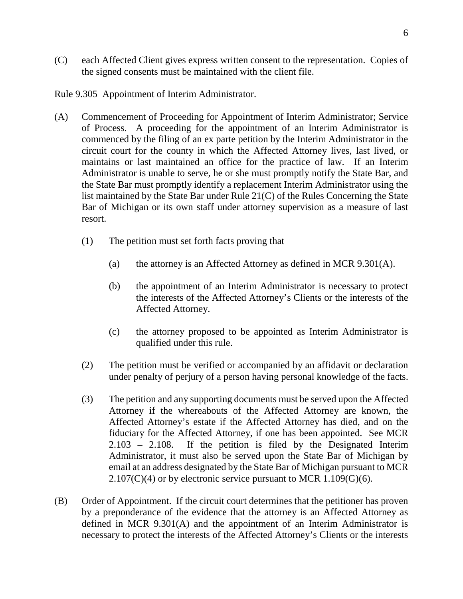(C) each Affected Client gives express written consent to the representation. Copies of the signed consents must be maintained with the client file.

Rule 9.305 Appointment of Interim Administrator.

- (A) Commencement of Proceeding for Appointment of Interim Administrator; Service of Process. A proceeding for the appointment of an Interim Administrator is commenced by the filing of an ex parte petition by the Interim Administrator in the circuit court for the county in which the Affected Attorney lives, last lived, or maintains or last maintained an office for the practice of law. If an Interim Administrator is unable to serve, he or she must promptly notify the State Bar, and the State Bar must promptly identify a replacement Interim Administrator using the list maintained by the State Bar under Rule 21(C) of the Rules Concerning the State Bar of Michigan or its own staff under attorney supervision as a measure of last resort.
	- (1) The petition must set forth facts proving that
		- (a) the attorney is an Affected Attorney as defined in MCR 9.301(A).
		- (b) the appointment of an Interim Administrator is necessary to protect the interests of the Affected Attorney's Clients or the interests of the Affected Attorney.
		- (c) the attorney proposed to be appointed as Interim Administrator is qualified under this rule.
	- (2) The petition must be verified or accompanied by an affidavit or declaration under penalty of perjury of a person having personal knowledge of the facts.
	- (3) The petition and any supporting documents must be served upon the Affected Attorney if the whereabouts of the Affected Attorney are known, the Affected Attorney's estate if the Affected Attorney has died, and on the fiduciary for the Affected Attorney, if one has been appointed. See MCR 2.103 – 2.108. If the petition is filed by the Designated Interim Administrator, it must also be served upon the State Bar of Michigan by email at an address designated by the State Bar of Michigan pursuant to MCR  $2.107(C)(4)$  or by electronic service pursuant to MCR 1.109(G)(6).
- (B) Order of Appointment. If the circuit court determines that the petitioner has proven by a preponderance of the evidence that the attorney is an Affected Attorney as defined in MCR 9.301(A) and the appointment of an Interim Administrator is necessary to protect the interests of the Affected Attorney's Clients or the interests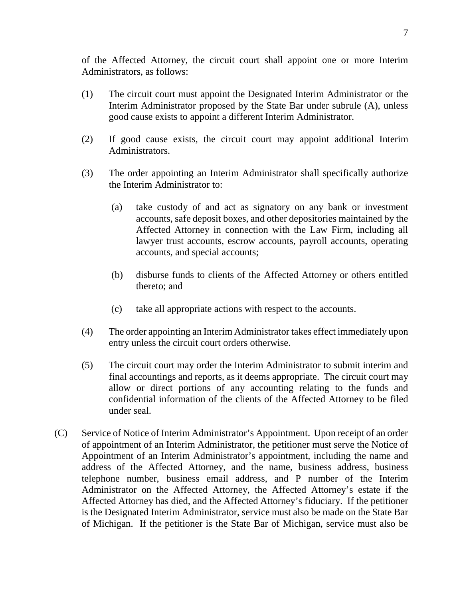of the Affected Attorney, the circuit court shall appoint one or more Interim Administrators, as follows:

- (1) The circuit court must appoint the Designated Interim Administrator or the Interim Administrator proposed by the State Bar under subrule (A), unless good cause exists to appoint a different Interim Administrator.
- (2) If good cause exists, the circuit court may appoint additional Interim Administrators.
- (3) The order appointing an Interim Administrator shall specifically authorize the Interim Administrator to:
	- (a) take custody of and act as signatory on any bank or investment accounts, safe deposit boxes, and other depositories maintained by the Affected Attorney in connection with the Law Firm, including all lawyer trust accounts, escrow accounts, payroll accounts, operating accounts, and special accounts;
	- (b) disburse funds to clients of the Affected Attorney or others entitled thereto; and
	- (c) take all appropriate actions with respect to the accounts.
- (4) The order appointing an Interim Administrator takes effect immediately upon entry unless the circuit court orders otherwise.
- (5) The circuit court may order the Interim Administrator to submit interim and final accountings and reports, as it deems appropriate. The circuit court may allow or direct portions of any accounting relating to the funds and confidential information of the clients of the Affected Attorney to be filed under seal.
- (C) Service of Notice of Interim Administrator's Appointment. Upon receipt of an order of appointment of an Interim Administrator, the petitioner must serve the Notice of Appointment of an Interim Administrator's appointment, including the name and address of the Affected Attorney, and the name, business address, business telephone number, business email address, and P number of the Interim Administrator on the Affected Attorney, the Affected Attorney's estate if the Affected Attorney has died, and the Affected Attorney's fiduciary. If the petitioner is the Designated Interim Administrator, service must also be made on the State Bar of Michigan. If the petitioner is the State Bar of Michigan, service must also be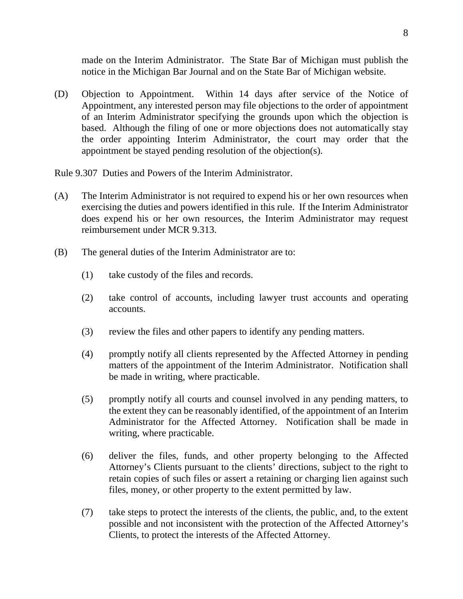made on the Interim Administrator. The State Bar of Michigan must publish the notice in the Michigan Bar Journal and on the State Bar of Michigan website.

(D) Objection to Appointment. Within 14 days after service of the Notice of Appointment, any interested person may file objections to the order of appointment of an Interim Administrator specifying the grounds upon which the objection is based. Although the filing of one or more objections does not automatically stay the order appointing Interim Administrator, the court may order that the appointment be stayed pending resolution of the objection(s).

Rule 9.307 Duties and Powers of the Interim Administrator.

- (A) The Interim Administrator is not required to expend his or her own resources when exercising the duties and powers identified in this rule. If the Interim Administrator does expend his or her own resources, the Interim Administrator may request reimbursement under MCR 9.313.
- (B) The general duties of the Interim Administrator are to:
	- (1) take custody of the files and records.
	- (2) take control of accounts, including lawyer trust accounts and operating accounts.
	- (3) review the files and other papers to identify any pending matters.
	- (4) promptly notify all clients represented by the Affected Attorney in pending matters of the appointment of the Interim Administrator. Notification shall be made in writing, where practicable.
	- (5) promptly notify all courts and counsel involved in any pending matters, to the extent they can be reasonably identified, of the appointment of an Interim Administrator for the Affected Attorney. Notification shall be made in writing, where practicable.
	- (6) deliver the files, funds, and other property belonging to the Affected Attorney's Clients pursuant to the clients' directions, subject to the right to retain copies of such files or assert a retaining or charging lien against such files, money, or other property to the extent permitted by law.
	- (7) take steps to protect the interests of the clients, the public, and, to the extent possible and not inconsistent with the protection of the Affected Attorney's Clients, to protect the interests of the Affected Attorney.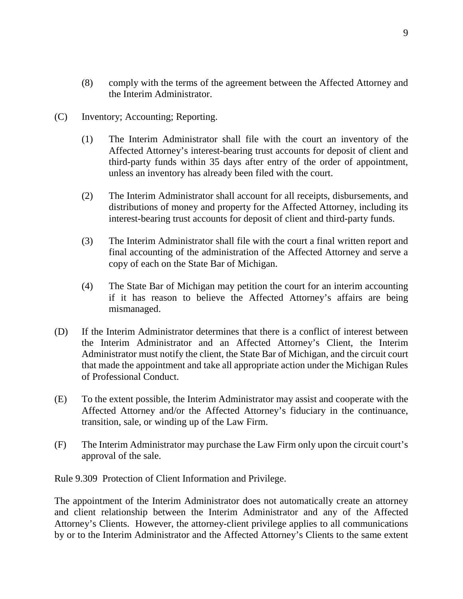- (8) comply with the terms of the agreement between the Affected Attorney and the Interim Administrator.
- (C) Inventory; Accounting; Reporting.
	- (1) The Interim Administrator shall file with the court an inventory of the Affected Attorney's interest-bearing trust accounts for deposit of client and third-party funds within 35 days after entry of the order of appointment, unless an inventory has already been filed with the court.
	- (2) The Interim Administrator shall account for all receipts, disbursements, and distributions of money and property for the Affected Attorney, including its interest-bearing trust accounts for deposit of client and third-party funds.
	- (3) The Interim Administrator shall file with the court a final written report and final accounting of the administration of the Affected Attorney and serve a copy of each on the State Bar of Michigan.
	- (4) The State Bar of Michigan may petition the court for an interim accounting if it has reason to believe the Affected Attorney's affairs are being mismanaged.
- (D) If the Interim Administrator determines that there is a conflict of interest between the Interim Administrator and an Affected Attorney's Client, the Interim Administrator must notify the client, the State Bar of Michigan, and the circuit court that made the appointment and take all appropriate action under the Michigan Rules of Professional Conduct.
- (E) To the extent possible, the Interim Administrator may assist and cooperate with the Affected Attorney and/or the Affected Attorney's fiduciary in the continuance, transition, sale, or winding up of the Law Firm.
- (F) The Interim Administrator may purchase the Law Firm only upon the circuit court's approval of the sale.

Rule 9.309 Protection of Client Information and Privilege.

The appointment of the Interim Administrator does not automatically create an attorney and client relationship between the Interim Administrator and any of the Affected Attorney's Clients. However, the attorney-client privilege applies to all communications by or to the Interim Administrator and the Affected Attorney's Clients to the same extent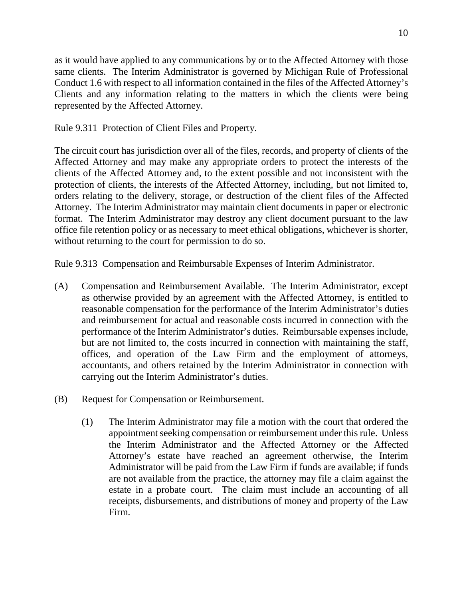as it would have applied to any communications by or to the Affected Attorney with those same clients. The Interim Administrator is governed by Michigan Rule of Professional Conduct 1.6 with respect to all information contained in the files of the Affected Attorney's Clients and any information relating to the matters in which the clients were being represented by the Affected Attorney.

Rule 9.311 Protection of Client Files and Property.

The circuit court has jurisdiction over all of the files, records, and property of clients of the Affected Attorney and may make any appropriate orders to protect the interests of the clients of the Affected Attorney and, to the extent possible and not inconsistent with the protection of clients, the interests of the Affected Attorney, including, but not limited to, orders relating to the delivery, storage, or destruction of the client files of the Affected Attorney. The Interim Administrator may maintain client documents in paper or electronic format. The Interim Administrator may destroy any client document pursuant to the law office file retention policy or as necessary to meet ethical obligations, whichever is shorter, without returning to the court for permission to do so.

Rule 9.313 Compensation and Reimbursable Expenses of Interim Administrator.

- (A) Compensation and Reimbursement Available. The Interim Administrator, except as otherwise provided by an agreement with the Affected Attorney, is entitled to reasonable compensation for the performance of the Interim Administrator's duties and reimbursement for actual and reasonable costs incurred in connection with the performance of the Interim Administrator's duties. Reimbursable expenses include, but are not limited to, the costs incurred in connection with maintaining the staff, offices, and operation of the Law Firm and the employment of attorneys, accountants, and others retained by the Interim Administrator in connection with carrying out the Interim Administrator's duties.
- (B) Request for Compensation or Reimbursement.
	- (1) The Interim Administrator may file a motion with the court that ordered the appointment seeking compensation or reimbursement under this rule. Unless the Interim Administrator and the Affected Attorney or the Affected Attorney's estate have reached an agreement otherwise, the Interim Administrator will be paid from the Law Firm if funds are available; if funds are not available from the practice, the attorney may file a claim against the estate in a probate court. The claim must include an accounting of all receipts, disbursements, and distributions of money and property of the Law Firm.